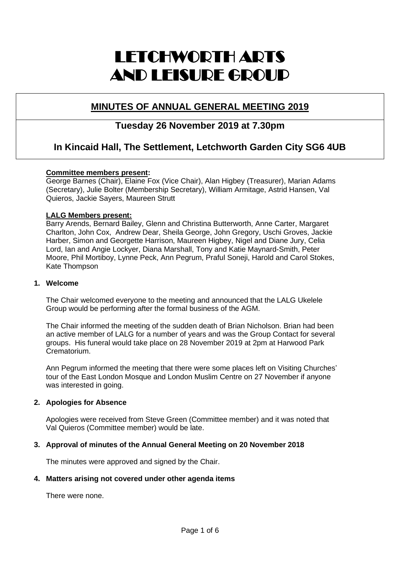# LETCHWORTH ARTS AND LEISURE GROUP

# **MINUTES OF ANNUAL GENERAL MEETING 2019**

# **Tuesday 26 November 2019 at 7.30pm**

# **In Kincaid Hall, The Settlement, Letchworth Garden City SG6 4UB**

# **Committee members present:**

George Barnes (Chair), Elaine Fox (Vice Chair), Alan Higbey (Treasurer), Marian Adams (Secretary), Julie Bolter (Membership Secretary), William Armitage, Astrid Hansen, Val Quieros, Jackie Sayers, Maureen Strutt

# **LALG Members present:**

Barry Arends, Bernard Bailey, Glenn and Christina Butterworth, Anne Carter, Margaret Charlton, John Cox, Andrew Dear, Sheila George, John Gregory, Uschi Groves, Jackie Harber, Simon and Georgette Harrison, Maureen Higbey, Nigel and Diane Jury, Celia Lord, Ian and Angie Lockyer, Diana Marshall, Tony and Katie Maynard-Smith, Peter Moore, Phil Mortiboy, Lynne Peck, Ann Pegrum, Praful Soneji, Harold and Carol Stokes, Kate Thompson

# **1. Welcome**

The Chair welcomed everyone to the meeting and announced that the LALG Ukelele Group would be performing after the formal business of the AGM.

The Chair informed the meeting of the sudden death of Brian Nicholson. Brian had been an active member of LALG for a number of years and was the Group Contact for several groups. His funeral would take place on 28 November 2019 at 2pm at Harwood Park Crematorium.

Ann Pegrum informed the meeting that there were some places left on Visiting Churches' tour of the East London Mosque and London Muslim Centre on 27 November if anyone was interested in going.

# **2. Apologies for Absence**

Apologies were received from Steve Green (Committee member) and it was noted that Val Quieros (Committee member) would be late.

# **3. Approval of minutes of the Annual General Meeting on 20 November 2018**

The minutes were approved and signed by the Chair.

# **4. Matters arising not covered under other agenda items**

There were none.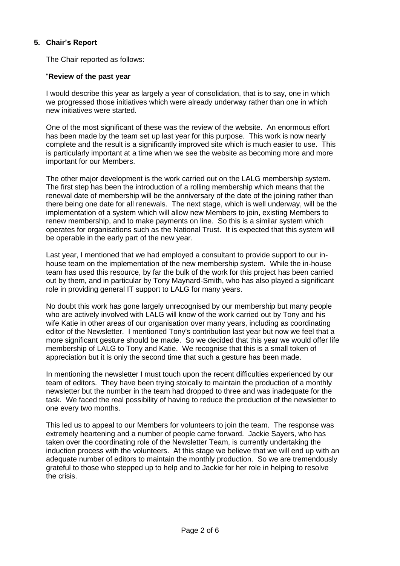# **5. Chair's Report**

The Chair reported as follows:

#### "**Review of the past year**

I would describe this year as largely a year of consolidation, that is to say, one in which we progressed those initiatives which were already underway rather than one in which new initiatives were started.

One of the most significant of these was the review of the website. An enormous effort has been made by the team set up last year for this purpose. This work is now nearly complete and the result is a significantly improved site which is much easier to use. This is particularly important at a time when we see the website as becoming more and more important for our Members.

The other major development is the work carried out on the LALG membership system. The first step has been the introduction of a rolling membership which means that the renewal date of membership will be the anniversary of the date of the joining rather than there being one date for all renewals. The next stage, which is well underway, will be the implementation of a system which will allow new Members to join, existing Members to renew membership, and to make payments on line. So this is a similar system which operates for organisations such as the National Trust. It is expected that this system will be operable in the early part of the new year.

Last year, I mentioned that we had employed a consultant to provide support to our inhouse team on the implementation of the new membership system. While the in-house team has used this resource, by far the bulk of the work for this project has been carried out by them, and in particular by Tony Maynard-Smith, who has also played a significant role in providing general IT support to LALG for many years.

No doubt this work has gone largely unrecognised by our membership but many people who are actively involved with LALG will know of the work carried out by Tony and his wife Katie in other areas of our organisation over many years, including as coordinating editor of the Newsletter. I mentioned Tony's contribution last year but now we feel that a more significant gesture should be made. So we decided that this year we would offer life membership of LALG to Tony and Katie. We recognise that this is a small token of appreciation but it is only the second time that such a gesture has been made.

In mentioning the newsletter I must touch upon the recent difficulties experienced by our team of editors. They have been trying stoically to maintain the production of a monthly newsletter but the number in the team had dropped to three and was inadequate for the task. We faced the real possibility of having to reduce the production of the newsletter to one every two months.

This led us to appeal to our Members for volunteers to join the team. The response was extremely heartening and a number of people came forward. Jackie Sayers, who has taken over the coordinating role of the Newsletter Team, is currently undertaking the induction process with the volunteers. At this stage we believe that we will end up with an adequate number of editors to maintain the monthly production. So we are tremendously grateful to those who stepped up to help and to Jackie for her role in helping to resolve the crisis.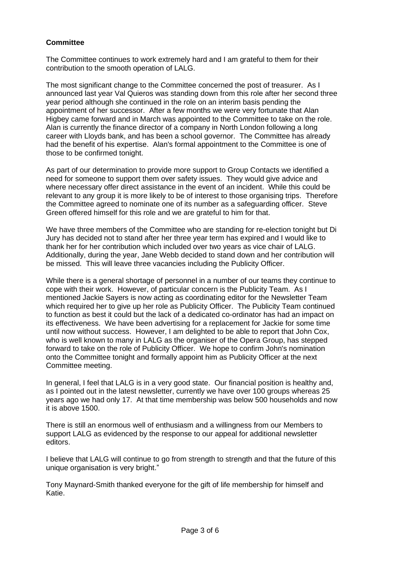# **Committee**

The Committee continues to work extremely hard and I am grateful to them for their contribution to the smooth operation of LALG.

The most significant change to the Committee concerned the post of treasurer. As I announced last year Val Quieros was standing down from this role after her second three year period although she continued in the role on an interim basis pending the appointment of her successor. After a few months we were very fortunate that Alan Higbey came forward and in March was appointed to the Committee to take on the role. Alan is currently the finance director of a company in North London following a long career with Lloyds bank, and has been a school governor. The Committee has already had the benefit of his expertise. Alan's formal appointment to the Committee is one of those to be confirmed tonight.

As part of our determination to provide more support to Group Contacts we identified a need for someone to support them over safety issues. They would give advice and where necessary offer direct assistance in the event of an incident. While this could be relevant to any group it is more likely to be of interest to those organising trips. Therefore the Committee agreed to nominate one of its number as a safeguarding officer. Steve Green offered himself for this role and we are grateful to him for that.

We have three members of the Committee who are standing for re-election tonight but Di Jury has decided not to stand after her three year term has expired and I would like to thank her for her contribution which included over two years as vice chair of LALG. Additionally, during the year, Jane Webb decided to stand down and her contribution will be missed. This will leave three vacancies including the Publicity Officer.

While there is a general shortage of personnel in a number of our teams they continue to cope with their work. However, of particular concern is the Publicity Team. As I mentioned Jackie Sayers is now acting as coordinating editor for the Newsletter Team which required her to give up her role as Publicity Officer. The Publicity Team continued to function as best it could but the lack of a dedicated co-ordinator has had an impact on its effectiveness. We have been advertising for a replacement for Jackie for some time until now without success. However, I am delighted to be able to report that John Cox, who is well known to many in LALG as the organiser of the Opera Group, has stepped forward to take on the role of Publicity Officer. We hope to confirm John's nomination onto the Committee tonight and formally appoint him as Publicity Officer at the next Committee meeting.

In general, I feel that LALG is in a very good state. Our financial position is healthy and, as I pointed out in the latest newsletter, currently we have over 100 groups whereas 25 years ago we had only 17. At that time membership was below 500 households and now it is above 1500.

There is still an enormous well of enthusiasm and a willingness from our Members to support LALG as evidenced by the response to our appeal for additional newsletter editors.

I believe that LALG will continue to go from strength to strength and that the future of this unique organisation is very bright."

Tony Maynard-Smith thanked everyone for the gift of life membership for himself and Katie.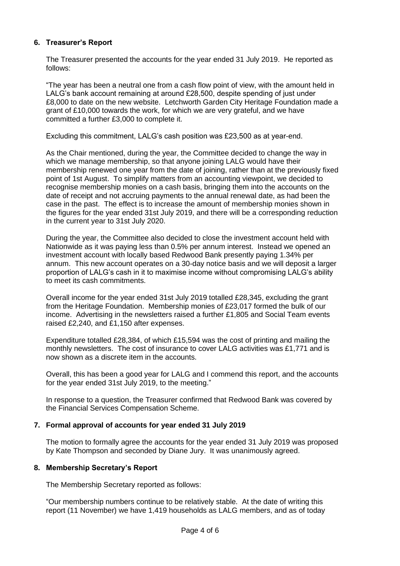# **6. Treasurer's Report**

The Treasurer presented the accounts for the year ended 31 July 2019. He reported as follows:

"The year has been a neutral one from a cash flow point of view, with the amount held in LALG's bank account remaining at around £28,500, despite spending of just under £8,000 to date on the new website. Letchworth Garden City Heritage Foundation made a grant of £10,000 towards the work, for which we are very grateful, and we have committed a further £3,000 to complete it.

Excluding this commitment, LALG's cash position was £23,500 as at year-end.

As the Chair mentioned, during the year, the Committee decided to change the way in which we manage membership, so that anyone joining LALG would have their membership renewed one year from the date of joining, rather than at the previously fixed point of 1st August. To simplify matters from an accounting viewpoint, we decided to recognise membership monies on a cash basis, bringing them into the accounts on the date of receipt and not accruing payments to the annual renewal date, as had been the case in the past. The effect is to increase the amount of membership monies shown in the figures for the year ended 31st July 2019, and there will be a corresponding reduction in the current year to 31st July 2020.

During the year, the Committee also decided to close the investment account held with Nationwide as it was paying less than 0.5% per annum interest. Instead we opened an investment account with locally based Redwood Bank presently paying 1.34% per annum. This new account operates on a 30-day notice basis and we will deposit a larger proportion of LALG's cash in it to maximise income without compromising LALG's ability to meet its cash commitments.

Overall income for the year ended 31st July 2019 totalled £28,345, excluding the grant from the Heritage Foundation. Membership monies of £23,017 formed the bulk of our income. Advertising in the newsletters raised a further £1,805 and Social Team events raised £2,240, and £1,150 after expenses.

Expenditure totalled £28,384, of which £15,594 was the cost of printing and mailing the monthly newsletters. The cost of insurance to cover LALG activities was £1,771 and is now shown as a discrete item in the accounts.

Overall, this has been a good year for LALG and I commend this report, and the accounts for the year ended 31st July 2019, to the meeting."

In response to a question, the Treasurer confirmed that Redwood Bank was covered by the Financial Services Compensation Scheme.

# **7. Formal approval of accounts for year ended 31 July 2019**

The motion to formally agree the accounts for the year ended 31 July 2019 was proposed by Kate Thompson and seconded by Diane Jury. It was unanimously agreed.

# **8. Membership Secretary's Report**

The Membership Secretary reported as follows:

"Our membership numbers continue to be relatively stable. At the date of writing this report (11 November) we have 1,419 households as LALG members, and as of today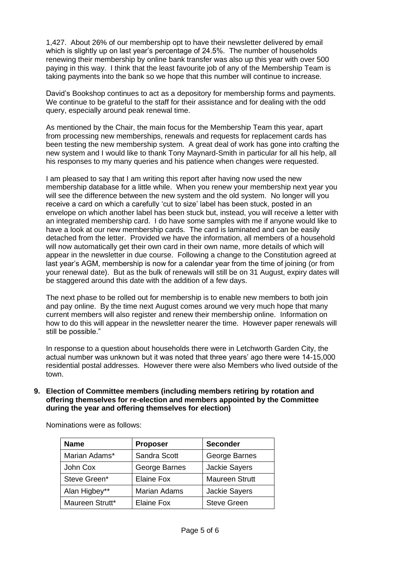1,427. About 26% of our membership opt to have their newsletter delivered by email which is slightly up on last year's percentage of 24.5%. The number of households renewing their membership by online bank transfer was also up this year with over 500 paying in this way. I think that the least favourite job of any of the Membership Team is taking payments into the bank so we hope that this number will continue to increase.

David's Bookshop continues to act as a depository for membership forms and payments. We continue to be grateful to the staff for their assistance and for dealing with the odd query, especially around peak renewal time.

As mentioned by the Chair, the main focus for the Membership Team this year, apart from processing new memberships, renewals and requests for replacement cards has been testing the new membership system. A great deal of work has gone into crafting the new system and I would like to thank Tony Maynard-Smith in particular for all his help, all his responses to my many queries and his patience when changes were requested.

I am pleased to say that I am writing this report after having now used the new membership database for a little while. When you renew your membership next year you will see the difference between the new system and the old system. No longer will you receive a card on which a carefully 'cut to size' label has been stuck, posted in an envelope on which another label has been stuck but, instead, you will receive a letter with an integrated membership card. I do have some samples with me if anyone would like to have a look at our new membership cards. The card is laminated and can be easily detached from the letter. Provided we have the information, all members of a household will now automatically get their own card in their own name, more details of which will appear in the newsletter in due course. Following a change to the Constitution agreed at last year's AGM, membership is now for a calendar year from the time of joining (or from your renewal date). But as the bulk of renewals will still be on 31 August, expiry dates will be staggered around this date with the addition of a few days.

The next phase to be rolled out for membership is to enable new members to both join and pay online. By the time next August comes around we very much hope that many current members will also register and renew their membership online. Information on how to do this will appear in the newsletter nearer the time. However paper renewals will still be possible."

In response to a question about households there were in Letchworth Garden City, the actual number was unknown but it was noted that three years' ago there were 14-15,000 residential postal addresses. However there were also Members who lived outside of the town.

**9. Election of Committee members (including members retiring by rotation and offering themselves for re-election and members appointed by the Committee during the year and offering themselves for election)**

| <b>Name</b>     | <b>Proposer</b>     | <b>Seconder</b>       |
|-----------------|---------------------|-----------------------|
| Marian Adams*   | Sandra Scott        | George Barnes         |
| John Cox        | George Barnes       | <b>Jackie Sayers</b>  |
| Steve Green*    | Elaine Fox          | <b>Maureen Strutt</b> |
| Alan Higbey**   | <b>Marian Adams</b> | <b>Jackie Sayers</b>  |
| Maureen Strutt* | Elaine Fox          | <b>Steve Green</b>    |

Nominations were as follows: